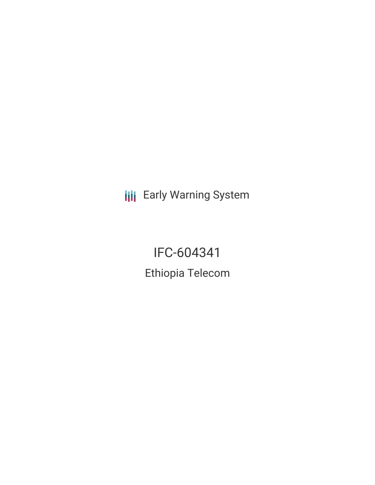**III** Early Warning System

IFC-604341 Ethiopia Telecom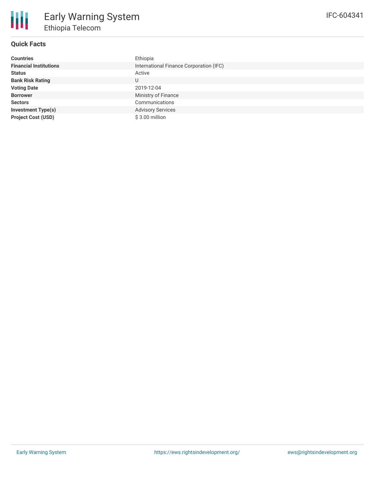

# **Quick Facts**

| <b>Countries</b>              | Ethiopia                                |
|-------------------------------|-----------------------------------------|
| <b>Financial Institutions</b> | International Finance Corporation (IFC) |
| <b>Status</b>                 | Active                                  |
| <b>Bank Risk Rating</b>       | U                                       |
| <b>Voting Date</b>            | 2019-12-04                              |
| <b>Borrower</b>               | Ministry of Finance                     |
| <b>Sectors</b>                | Communications                          |
| <b>Investment Type(s)</b>     | <b>Advisory Services</b>                |
| <b>Project Cost (USD)</b>     | $$3.00$ million                         |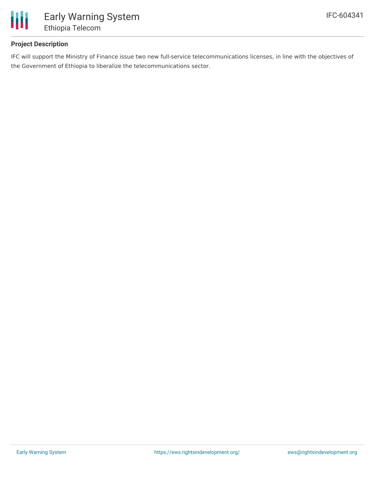

### **Project Description**

IFC will support the Ministry of Finance issue two new full-service telecommunications licenses, in line with the objectives of the Government of Ethiopia to liberalize the telecommunications sector.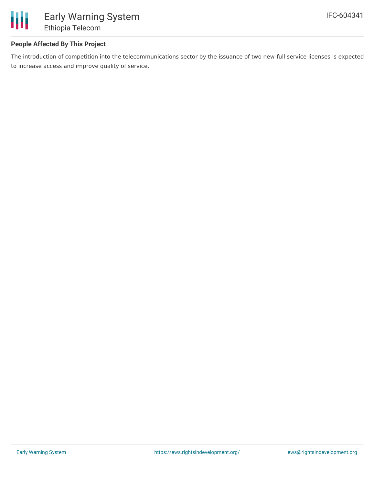

### **People Affected By This Project**

The introduction of competition into the telecommunications sector by the issuance of two new-full service licenses is expected to increase access and improve quality of service.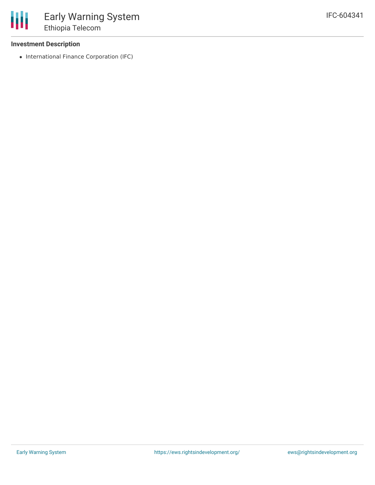### **Investment Description**

• International Finance Corporation (IFC)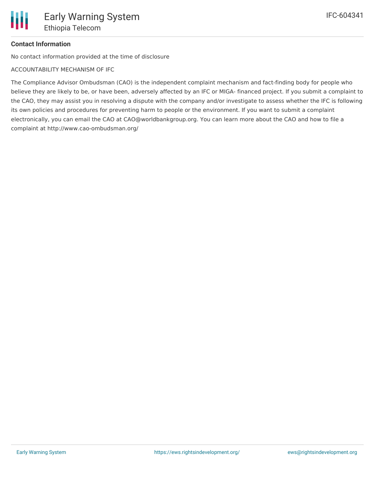# **Contact Information**

No contact information provided at the time of disclosure

ACCOUNTABILITY MECHANISM OF IFC

The Compliance Advisor Ombudsman (CAO) is the independent complaint mechanism and fact-finding body for people who believe they are likely to be, or have been, adversely affected by an IFC or MIGA- financed project. If you submit a complaint to the CAO, they may assist you in resolving a dispute with the company and/or investigate to assess whether the IFC is following its own policies and procedures for preventing harm to people or the environment. If you want to submit a complaint electronically, you can email the CAO at CAO@worldbankgroup.org. You can learn more about the CAO and how to file a complaint at http://www.cao-ombudsman.org/